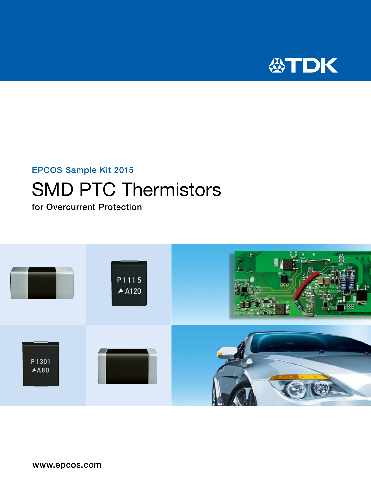

### EPCOS Sample Kit 2015

# SMD PTC Thermistors

for Overcurrent Protection

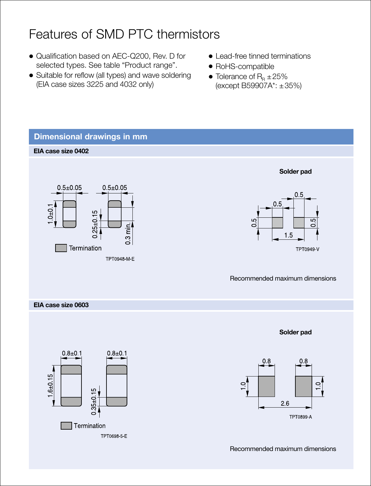### Features of SMD PTC thermistors

- Qualification based on AEC-Q200, Rev. D for selected types. See table "Product range".
- Suitable for reflow (all types) and wave soldering (EIA case sizes 3225 and 4032 only)
- $\bullet$  Lead-free tinned terminations
- RoHS-compatible
- Tolerance of  $R_B \pm 25\%$ (except B59907A\*: ±35%)



Recommended maximum dimensions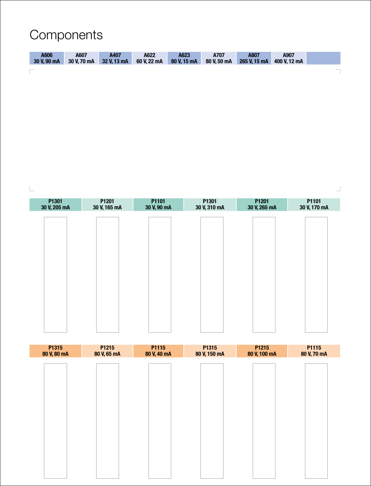## **Components**

| A606<br>30 V. 90 mA | A607<br>30 V.70 mA | A407<br>32 V. 13 mA | A622<br>60 V. 22 mA | A623<br>80 V. 15 mA | A707<br>80 V.50 mA | A807<br>265 V. 15 mA | A907<br>400 V. 12 mA |        |
|---------------------|--------------------|---------------------|---------------------|---------------------|--------------------|----------------------|----------------------|--------|
| $\sim$              |                    |                     |                     |                     |                    |                      |                      | $\sim$ |

 $\mathrel{\sqsubseteq}$ 

| P1301<br>30 V, 205 mA | P1201<br>30 V, 165 mA | P1101<br>30 V, 90 mA | P1301<br>30 V, 310 mA | P1201<br>30 V, 265 mA | P1101<br>30 V, 170 mA |
|-----------------------|-----------------------|----------------------|-----------------------|-----------------------|-----------------------|
|                       |                       |                      |                       |                       |                       |
|                       |                       |                      |                       |                       |                       |
|                       |                       |                      |                       |                       |                       |
|                       |                       |                      |                       |                       |                       |
|                       |                       |                      |                       |                       |                       |
|                       |                       |                      |                       |                       |                       |
|                       |                       |                      |                       |                       |                       |
|                       |                       |                      |                       |                       |                       |
|                       |                       |                      |                       |                       |                       |

 $\overline{\phantom{a}}$ 

| P1315<br>80 V, 80 mA | P1215<br>80 V, 65 mA | P1115<br>80 V, 40 mA | P1315<br>80 V, 150 mA | P1215<br>80 V, 100 mA | P1115<br>80 V, 70 mA |
|----------------------|----------------------|----------------------|-----------------------|-----------------------|----------------------|
|                      |                      |                      |                       |                       |                      |
|                      |                      |                      |                       |                       |                      |
|                      |                      |                      |                       |                       |                      |
|                      |                      |                      |                       |                       |                      |
|                      |                      |                      |                       |                       |                      |
|                      |                      |                      |                       |                       |                      |
|                      |                      |                      |                       |                       |                      |
|                      |                      |                      |                       |                       |                      |
|                      |                      |                      |                       |                       |                      |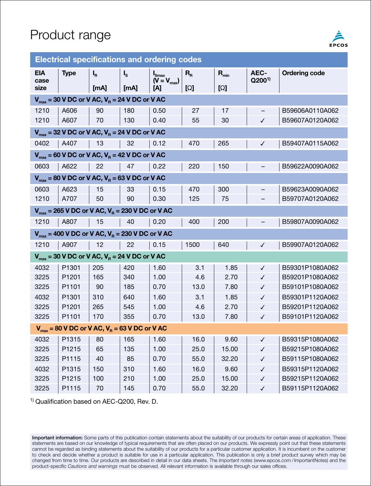

| <b>Electrical specifications and ordering codes</b>                  |                                                      |                                                        |         |                                    |                                             |                     |                   |                      |  |  |  |
|----------------------------------------------------------------------|------------------------------------------------------|--------------------------------------------------------|---------|------------------------------------|---------------------------------------------|---------------------|-------------------|----------------------|--|--|--|
| <b>EIA</b>                                                           | <b>Type</b>                                          | $I_R$                                                  | $I_{s}$ | $\mathbf{I}_{\text{Smax}}$         | $\mathsf{R}_{\scriptscriptstyle\mathsf{R}}$ | $\mathbf{R}_{\min}$ | AEC-              | <b>Ordering code</b> |  |  |  |
| case<br>size                                                         |                                                      | [mA]                                                   | [mA]    | $(\widetilde{V} = V_{max})$<br>[A] | [Ω]                                         | [Ω]                 | $Q200^{1}$        |                      |  |  |  |
|                                                                      | $V_{max}$ = 30 V DC or V AC, $V_B$ = 24 V DC or V AC |                                                        |         |                                    |                                             |                     |                   |                      |  |  |  |
| 1210                                                                 | A606                                                 | 90                                                     | 180     | 0.50                               | 27                                          | 17                  | $\qquad \qquad -$ | B59606A0110A062      |  |  |  |
| 1210                                                                 | A607                                                 | 70                                                     | 130     | 0.40                               | 55                                          | 30                  | $\checkmark$      | B59607A0120A062      |  |  |  |
| $V_{max}$ = 32 V DC or V AC, $V_B$ = 24 V DC or V AC                 |                                                      |                                                        |         |                                    |                                             |                     |                   |                      |  |  |  |
| 0402                                                                 | A407                                                 | 13                                                     | 32      | 0.12                               | 470                                         | 265                 | ✓                 | B59407A0115A062      |  |  |  |
|                                                                      |                                                      | $V_{max}$ = 60 V DC or V AC, $V_{B}$ = 42 V DC or V AC |         |                                    |                                             |                     |                   |                      |  |  |  |
| 0603                                                                 | A622                                                 | 22                                                     | 47      | 0.22                               | 220                                         | 150                 |                   | B59622A0090A062      |  |  |  |
|                                                                      |                                                      | $V_{max}$ = 80 V DC or V AC, $V_{B}$ = 63 V DC or V AC |         |                                    |                                             |                     |                   |                      |  |  |  |
| 0603                                                                 | A623                                                 | 15                                                     | 33      | 0.15                               | 470                                         | 300                 |                   | B59623A0090A062      |  |  |  |
| 1210                                                                 | A707                                                 | 50                                                     | 90      | 0.30                               | 125                                         | 75                  |                   | B59707A0120A062      |  |  |  |
| $V_{max}$ = 265 V DC or V AC, $V_{B}$ = 230 V DC or V AC             |                                                      |                                                        |         |                                    |                                             |                     |                   |                      |  |  |  |
| 1210                                                                 | A807                                                 | 15                                                     | 40      | 0.20                               | 400                                         | 200                 |                   | B59807A0090A062      |  |  |  |
|                                                                      |                                                      | $V_{max}$ = 400 V DC or V AC, $V_B$ = 230 V DC or V AC |         |                                    |                                             |                     |                   |                      |  |  |  |
| 1210                                                                 | A907                                                 | 12                                                     | 22      | 0.15                               | 1500                                        | 640                 | $\checkmark$      | B59907A0120A062      |  |  |  |
|                                                                      |                                                      | $V_{max}$ = 30 V DC or V AC, $V_B$ = 24 V DC or V AC   |         |                                    |                                             |                     |                   |                      |  |  |  |
| 4032                                                                 | P <sub>1301</sub>                                    | 205                                                    | 420     | 1.60                               | 3.1                                         | 1.85                | $\checkmark$      | B59301P1080A062      |  |  |  |
| 3225                                                                 | P <sub>1201</sub>                                    | 165                                                    | 340     | 1.00                               | 4.6                                         | 2.70                | ✓                 | B59201P1080A062      |  |  |  |
| 3225                                                                 | P <sub>1101</sub>                                    | 90                                                     | 185     | 0.70                               | 13.0                                        | 7.80                | ✓                 | B59101P1080A062      |  |  |  |
| 4032                                                                 | P <sub>1301</sub>                                    | 310                                                    | 640     | 1.60                               | 3.1                                         | 1.85                | ✓                 | B59301P1120A062      |  |  |  |
| 3225                                                                 | P <sub>1201</sub>                                    | 265                                                    | 545     | 1.00                               | 4.6                                         | 2.70                | ✓                 | B59201P1120A062      |  |  |  |
| 3225                                                                 | P1101                                                | 170                                                    | 355     | 0.70                               | 13.0                                        | 7.80                | $\checkmark$      | B59101P1120A062      |  |  |  |
| $V_{\text{max}}$ = 80 V DC or V AC, $V_{\text{R}}$ = 63 V DC or V AC |                                                      |                                                        |         |                                    |                                             |                     |                   |                      |  |  |  |
| 4032                                                                 | P <sub>1315</sub>                                    | 80                                                     | 165     | 1.60                               | 16.0                                        | 9.60                | $\checkmark$      | B59315P1080A062      |  |  |  |
| 3225                                                                 | P <sub>1215</sub>                                    | 65                                                     | 135     | 1.00                               | 25.0                                        | 15.00               | ✓                 | B59215P1080A062      |  |  |  |
| 3225                                                                 | P <sub>1115</sub>                                    | 40                                                     | 85      | 0.70                               | 55.0                                        | 32.20               | ✓                 | B59115P1080A062      |  |  |  |
| 4032                                                                 | P <sub>1315</sub>                                    | 150                                                    | 310     | 1.60                               | 16.0                                        | 9.60                | ✓                 | B59315P1120A062      |  |  |  |
| 3225                                                                 | P <sub>1215</sub>                                    | 100                                                    | 210     | 1.00                               | 25.0                                        | 15.00               | ✓                 | B59215P1120A062      |  |  |  |
| 3225                                                                 | P <sub>1115</sub>                                    | 70                                                     | 145     | 0.70                               | 55.0                                        | 32.20               | ✓                 | B59115P1120A062      |  |  |  |

<sup>1)</sup> Qualification based on AEC-Q200, Rev. D.

Important information: Some parts of this publication contain statements about the suitability of our products for certain areas of application. These statements are based on our knowledge of typical requirements that are often placed on our products. We expressly point out that these statements cannot be regarded as binding statements about the suitability of our products for a particular customer application. It is incumbent on the customer to check and decide whether a product is suitable for use in a particular application. This publication is only a brief product survey which may be changed from time to time. Our products are described in detail in our data sheets. The *Important notes* (www.epcos.com /ImportantNotes) and the product-specific *Cautions and warnings* must be observed. All relevant information is available through our sales offices.